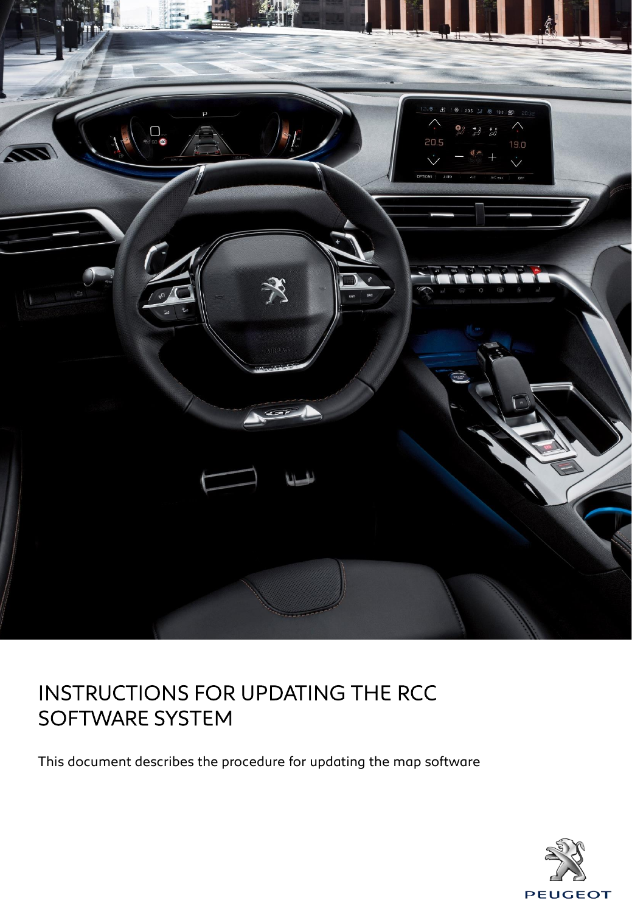

This document describes the procedure for updating the map software

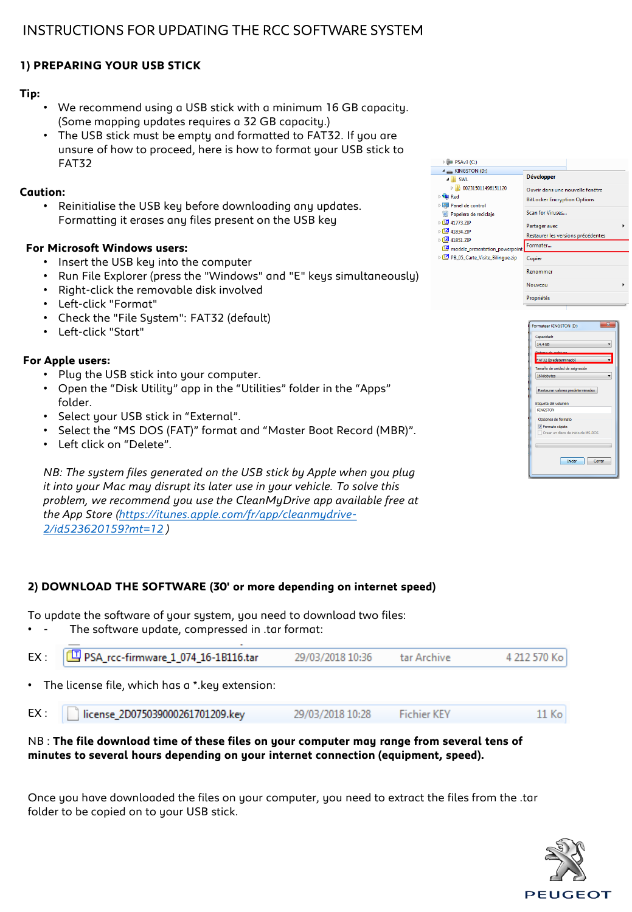# **1) PREPARING YOUR USB STICK**

## **Tip:**

- We recommend using a USB stick with a minimum 16 GB capacity. (Some mapping updates requires a 32 GB capacity.)
- The USB stick must be empty and formatted to FAT32. If you are unsure of how to proceed, here is how to format your USB stick to FAT32

#### **Caution:**

• Reinitialise the USB key before downloading any updates. Formatting it erases any files present on the USB key

### **For Microsoft Windows users:**

- Insert the USB key into the computer
- Run File Explorer (press the "Windows" and "E" keys simultaneously)
- Right-click the removable disk involved
- Left-click "Format"
- Check the "File System": FAT32 (default)
- Left-click "Start"

## **For Apple users:**

- Plug the USB stick into your computer.
- Open the "Disk Utility" app in the "Utilities" folder in the "Apps" folder.
- Select your USB stick in "External".
- Select the "MS DOS (FAT)" format and "Master Boot Record (MBR)".
- Left click on "Delete".

*NB: The system files generated on the USB stick by Apple when you plug it into your Mac may disrupt its later use in your vehicle. To solve this problem, we recommend you use the CleanMyDrive app available free at [the App Store \(https://itunes.apple.com/fr/app/cleanmydrive-](https://itunes.apple.com/fr/app/cleanmydrive-2/id523620159?mt=12)2/id523620159?mt=12 )*

# **2) DOWNLOAD THE SOFTWARE (30' or more depending on internet speed)**

To update the software of your system, you need to download two files:

The software update, compressed in .tar format:

|                                                  | $EX: \Box$ PSA_rcc-firmware_1_074_16-1B116.tar | 29/03/2018 10:36 | tar Archive | 4 212 570 Kol |  |  |
|--------------------------------------------------|------------------------------------------------|------------------|-------------|---------------|--|--|
| • The license file, which has a * key extension: |                                                |                  |             |               |  |  |

| EX: | license 2D075039000261701209.key | 29/03/2018 10:28 | <b>Fichier KEY</b> | 11 Kol |
|-----|----------------------------------|------------------|--------------------|--------|
|-----|----------------------------------|------------------|--------------------|--------|

## NB : **The file download time of these files on your computer may range from several tens of minutes to several hours depending on your internet connection (equipment, speed).**

Once you have downloaded the files on your computer, you need to extract the files from the .tar folder to be copied on to your USB stick.





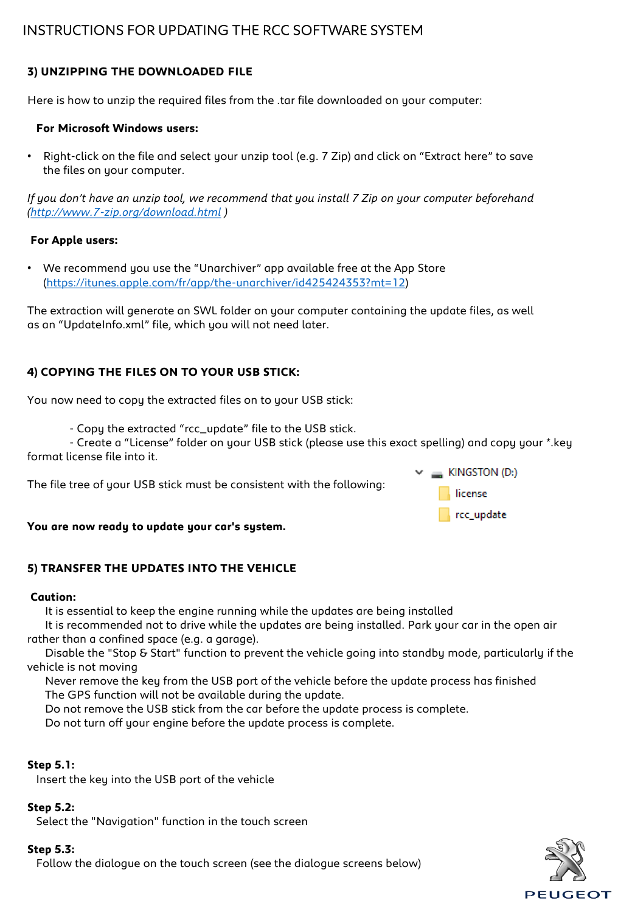# **3) UNZIPPING THE DOWNLOADED FILE**

Here is how to unzip the required files from the .tar file downloaded on your computer:

#### **For Microsoft Windows users:**

• Right-click on the file and select your unzip tool (e.g. 7 Zip) and click on "Extract here" to save the files on your computer.

*If you don't have an unzip tool, we recommend that you install 7 Zip on your computer beforehand [\(http://www.7-zip.org/download.html](http://www.7-zip.org/download.html) )*

#### **For Apple users:**

• We recommend you use the "Unarchiver" app available free at the App Store ([https://itunes.apple.com/fr/app/the-unarchiver/id425424353?mt=12\)](https://itunes.apple.com/fr/app/the-unarchiver/id425424353?mt=12)

The extraction will generate an SWL folder on your computer containing the update files, as well as an "UpdateInfo.xml" file, which you will not need later.

# **4) COPYING THE FILES ON TO YOUR USB STICK:**

You now need to copy the extracted files on to your USB stick:

- Copy the extracted "rcc\_update" file to the USB stick.

- Create a "License" folder on your USB stick (please use this exact spelling) and copy your \*.key format license file into it.

The file tree of your USB stick must be consistent with the following:



#### **You are now ready to update your car's system.**

### **5) TRANSFER THE UPDATES INTO THE VEHICLE**

#### **Caution:**

It is essential to keep the engine running while the updates are being installed

It is recommended not to drive while the updates are being installed. Park your car in the open air rather than a confined space (e.g. a garage).

Disable the "Stop & Start" function to prevent the vehicle going into standby mode, particularly if the vehicle is not moving

Never remove the key from the USB port of the vehicle before the update process has finished The GPS function will not be available during the update.

Do not remove the USB stick from the car before the update process is complete.

Do not turn off your engine before the update process is complete.

### **Step 5.1:**

Insert the key into the USB port of the vehicle

#### **Step 5.2:**

Select the "Navigation" function in the touch screen

#### **Step 5.3:**

Follow the dialogue on the touch screen (see the dialogue screens below)

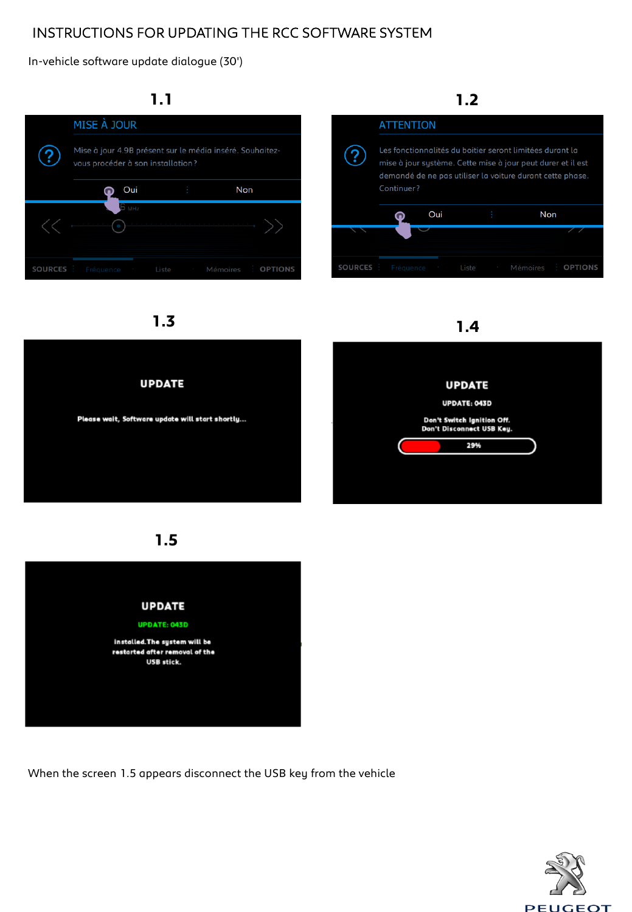In-vehicle software update dialogue (30')





**UPDATE** Please wait, Software update will start shortly...

**1.5**



When the screen 1.5 appears disconnect the USB key from the vehicle